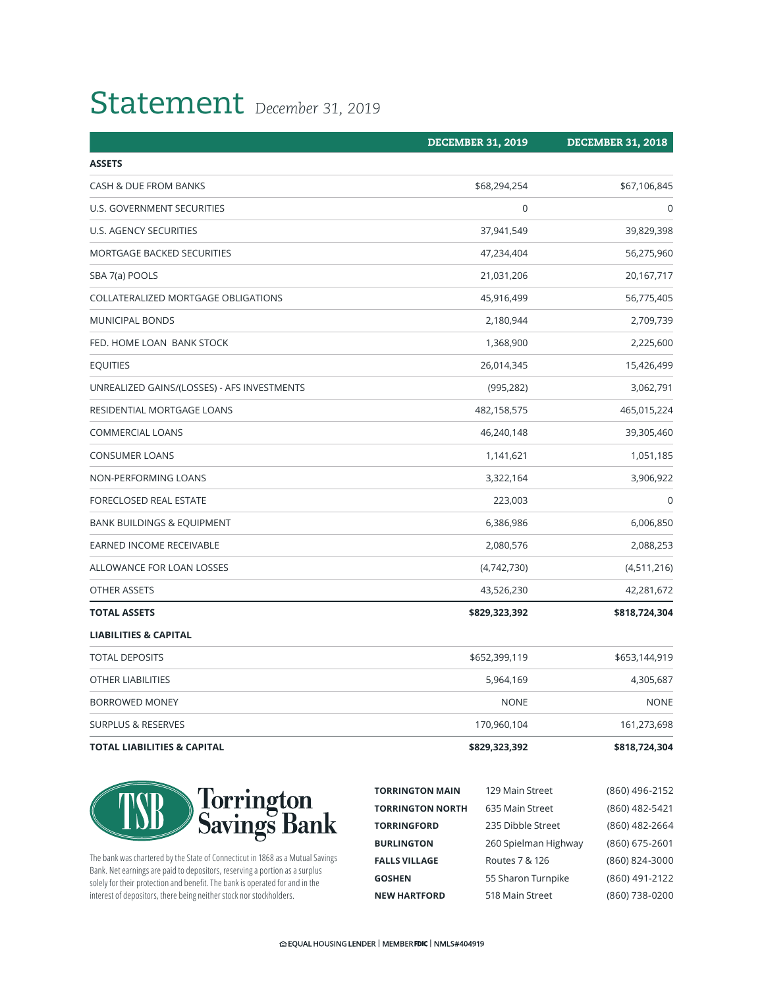## Statement *December 31, 2019*

|                                             | <b>DECEMBER 31, 2019</b> | <b>DECEMBER 31, 2018</b> |
|---------------------------------------------|--------------------------|--------------------------|
| <b>ASSETS</b>                               |                          |                          |
| CASH & DUE FROM BANKS                       | \$68,294,254             | \$67,106,845             |
| U.S. GOVERNMENT SECURITIES                  | 0                        | 0                        |
| U.S. AGENCY SECURITIES                      | 37,941,549               | 39,829,398               |
| <b>MORTGAGE BACKED SECURITIES</b>           | 47,234,404               | 56,275,960               |
| SBA 7(a) POOLS                              | 21,031,206               | 20,167,717               |
| COLLATERALIZED MORTGAGE OBLIGATIONS         | 45,916,499               | 56,775,405               |
| MUNICIPAL BONDS                             | 2,180,944                | 2,709,739                |
| FED. HOME LOAN BANK STOCK                   | 1,368,900                | 2,225,600                |
| <b>EQUITIES</b>                             | 26,014,345               | 15,426,499               |
| UNREALIZED GAINS/(LOSSES) - AFS INVESTMENTS | (995, 282)               | 3,062,791                |
| RESIDENTIAL MORTGAGE LOANS                  | 482,158,575              | 465,015,224              |
| <b>COMMERCIAL LOANS</b>                     | 46,240,148               | 39,305,460               |
| <b>CONSUMER LOANS</b>                       | 1,141,621                | 1,051,185                |
| NON-PERFORMING LOANS                        | 3,322,164                | 3,906,922                |
| FORECLOSED REAL ESTATE                      | 223,003                  | $\mathbf 0$              |
| <b>BANK BUILDINGS &amp; EQUIPMENT</b>       | 6,386,986                | 6,006,850                |
| EARNED INCOME RECEIVABLE                    | 2,080,576                | 2,088,253                |
| ALLOWANCE FOR LOAN LOSSES                   | (4,742,730)              | (4,511,216)              |
| OTHER ASSETS                                | 43,526,230               | 42,281,672               |
| <b>TOTAL ASSETS</b>                         | \$829,323,392            | \$818,724,304            |
| <b>LIABILITIES &amp; CAPITAL</b>            |                          |                          |
| <b>TOTAL DEPOSITS</b>                       | \$652,399,119            | \$653,144,919            |
| OTHER LIABILITIES                           | 5,964,169                | 4,305,687                |
| BORROWED MONEY                              | <b>NONE</b>              | <b>NONE</b>              |
| <b>SURPLUS &amp; RESERVES</b>               | 170,960,104              | 161,273,698              |
| <b>TOTAL LIABILITIES &amp; CAPITAL</b>      | \$829,323,392            | \$818,724,304            |





The bank was chartered by the State of Connecticut in 1868 as a Mutual Savings Bank. Net earnings are paid to depositors, reserving a portion as a surplus solely for their protection and benefit. The bank is operated for and in the interest of depositors, there being neither stock nor stockholders.

| <b>TORRINGTON MAIN</b>  | 129 Main Street      | (860) 496-2152 |
|-------------------------|----------------------|----------------|
| <b>TORRINGTON NORTH</b> | 635 Main Street      | (860) 482-5421 |
| <b>TORRINGFORD</b>      | 235 Dibble Street    | (860) 482-2664 |
| <b>BURLINGTON</b>       | 260 Spielman Highway | (860) 675-2601 |
| <b>FALLS VILLAGE</b>    | Routes 7 & 126       | (860) 824-3000 |
| <b>GOSHEN</b>           | 55 Sharon Turnpike   | (860) 491-2122 |
| <b>NEW HARTFORD</b>     | 518 Main Street      | (860) 738-0200 |